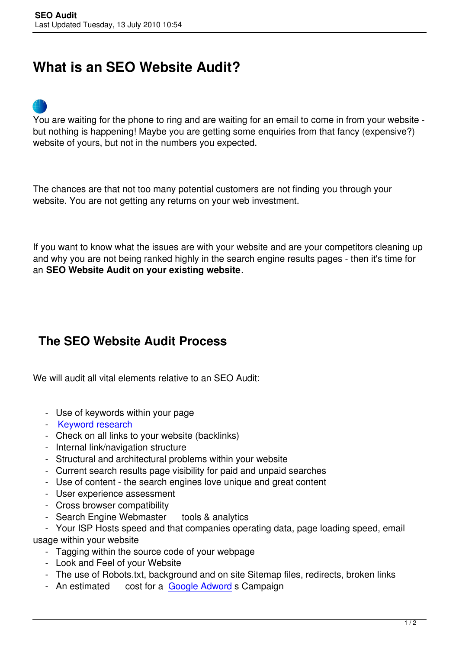## **What is an SEO Website Audit?**



You are waiting for the phone to ring and are waiting for an email to come in from your website but nothing is happening! Maybe you are getting some enquiries from that fancy (expensive?) website of yours, but not in the numbers you expected.

The chances are that not too many potential customers are not finding you through your website. You are not getting any returns on your web investment.

If you want to know what the issues are with your website and are your competitors cleaning up and why you are not being ranked highly in the search engine results pages - then it's time for an **SEO Website Audit on your existing website**.

## **The SEO Website Audit Process**

We will audit all vital elements relative to an SEO Audit:

- Use of keywords within your page
- Keyword research
- Check on all links to your website (backlinks)
- Internal link/navigation structure
- [Structural and arch](index.php/keyword-research)itectural problems within your website
- Current search results page visibility for paid and unpaid searches
- Use of content the search engines love unique and great content
- User experience assessment
- Cross browser compatibility
- Search Engine Webmaster tools & analytics

 - Your ISP Hosts speed and that companies operating data, page loading speed, email usage within your website

- Tagging within the source code of your webpage
- Look and Feel of your Website
- The use of Robots.txt, background and on site Sitemap files, redirects, broken links
- An estimated cost for a Google Adword s Campaign